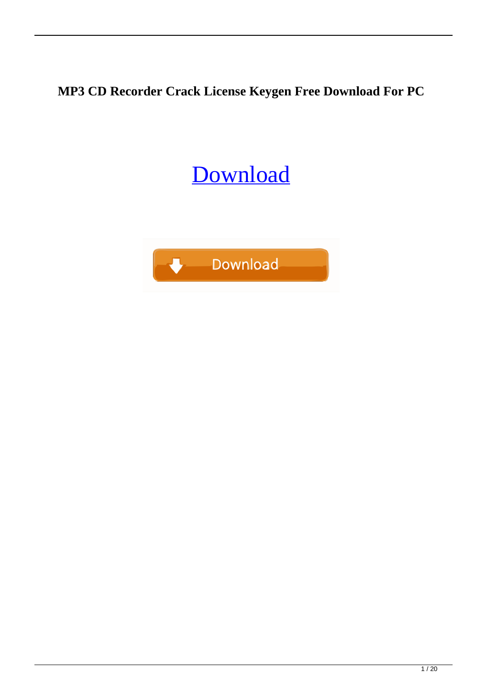**MP3 CD Recorder Crack License Keygen Free Download For PC**

#### [Download](http://evacdir.com/ZG93bmxvYWR8UUo3TlRCeFpueDhNVFkxTkRRek5qWTFPSHg4TWpVNU1IeDhLRTBwSUZkdmNtUndjbVZ6Y3lCYldFMU1VbEJESUZZeUlGQkVSbDA.desalvo/jetranger/nonscientific.marfan/overanalyzing/TVAzIENEIFJlY29yZGVyTVA/rhyme.dastardly)

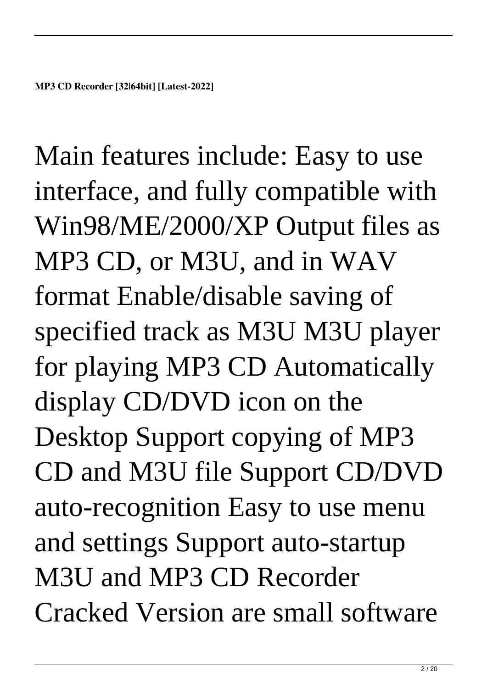Main features include: Easy to use interface, and fully compatible with Win98/ME/2000/XP Output files as MP3 CD, or M3U, and in WAV format Enable/disable saving of specified track as M3U M3U player for playing MP3 CD Automatically display CD/DVD icon on the Desktop Support copying of MP3 CD and M3U file Support CD/DVD auto-recognition Easy to use menu and settings Support auto-startup M3U and MP3 CD Recorder Cracked Version are small software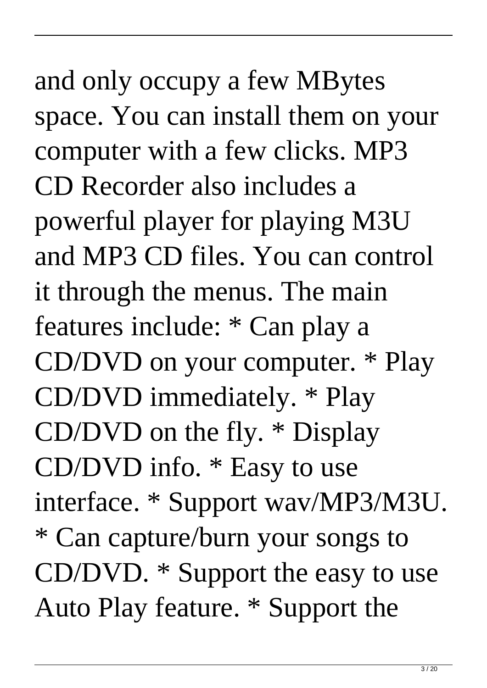# and only occupy a few MBytes space. You can install them on your computer with a few clicks. MP3 CD Recorder also includes a powerful player for playing M3U and MP3 CD files. You can control it through the menus. The main features include: \* Can play a CD/DVD on your computer. \* Play CD/DVD immediately. \* Play CD/DVD on the fly. \* Display CD/DVD info. \* Easy to use interface. \* Support wav/MP3/M3U. \* Can capture/burn your songs to CD/DVD. \* Support the easy to use Auto Play feature. \* Support the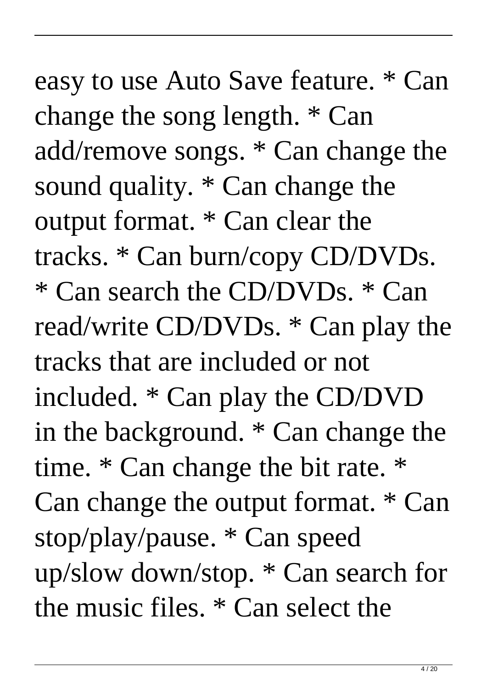easy to use Auto Save feature. \* Can change the song length. \* Can add/remove songs. \* Can change the sound quality. \* Can change the output format. \* Can clear the tracks. \* Can burn/copy CD/DVDs. \* Can search the CD/DVDs. \* Can read/write CD/DVDs. \* Can play the tracks that are included or not included. \* Can play the CD/DVD in the background. \* Can change the time. \* Can change the bit rate. \* Can change the output format. \* Can stop/play/pause. \* Can speed up/slow down/stop. \* Can search for the music files. \* Can select the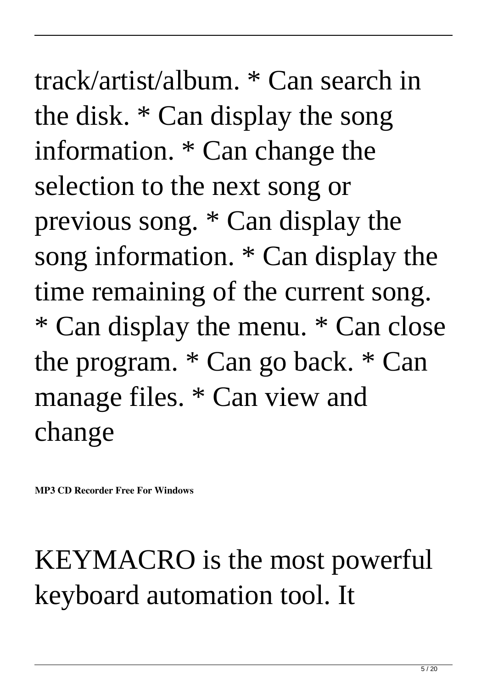track/artist/album. \* Can search in the disk. \* Can display the song information. \* Can change the selection to the next song or previous song. \* Can display the song information. \* Can display the time remaining of the current song. \* Can display the menu. \* Can close the program. \* Can go back. \* Can manage files. \* Can view and change

**MP3 CD Recorder Free For Windows**

#### KEYMACRO is the most powerful keyboard automation tool. It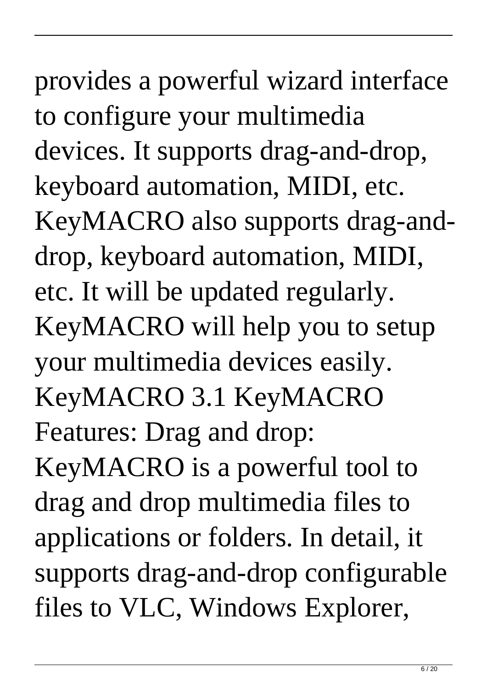provides a powerful wizard interface to configure your multimedia devices. It supports drag-and-drop, keyboard automation, MIDI, etc. KeyMACRO also supports drag-anddrop, keyboard automation, MIDI, etc. It will be updated regularly. KeyMACRO will help you to setup your multimedia devices easily. KeyMACRO 3.1 KeyMACRO Features: Drag and drop: KeyMACRO is a powerful tool to drag and drop multimedia files to applications or folders. In detail, it supports drag-and-drop configurable files to VLC, Windows Explorer,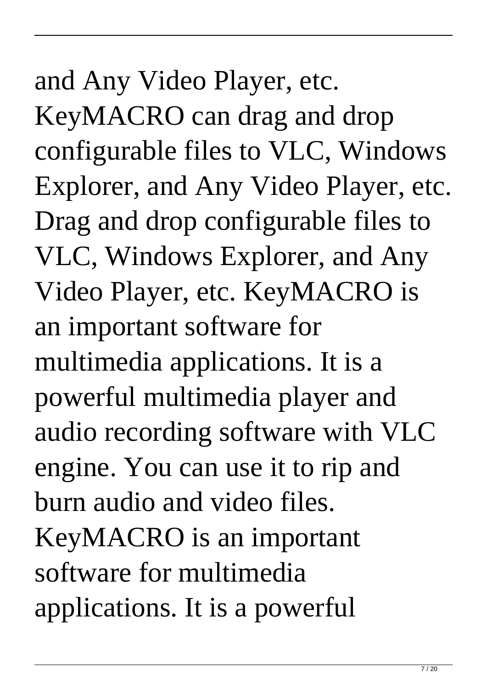# and Any Video Player, etc. KeyMACRO can drag and drop configurable files to VLC, Windows Explorer, and Any Video Player, etc. Drag and drop configurable files to VLC, Windows Explorer, and Any Video Player, etc. KeyMACRO is an important software for multimedia applications. It is a powerful multimedia player and audio recording software with VLC engine. You can use it to rip and burn audio and video files. KeyMACRO is an important software for multimedia applications. It is a powerful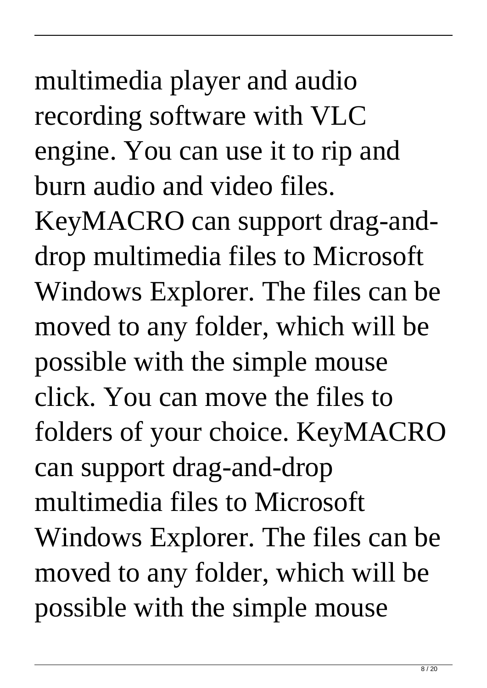multimedia player and audio recording software with VLC engine. You can use it to rip and burn audio and video files.

KeyMACRO can support drag-anddrop multimedia files to Microsoft Windows Explorer. The files can be moved to any folder, which will be possible with the simple mouse click. You can move the files to folders of your choice. KeyMACRO can support drag-and-drop multimedia files to Microsoft Windows Explorer. The files can be moved to any folder, which will be possible with the simple mouse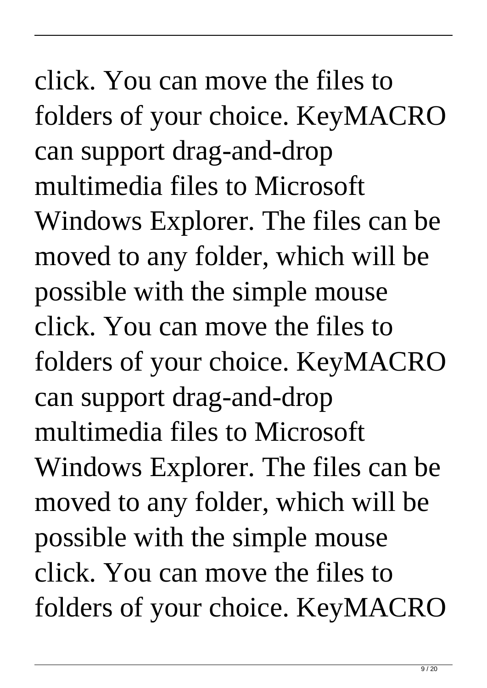click. You can move the files to folders of your choice. KeyMACRO can support drag-and-drop multimedia files to Microsoft Windows Explorer. The files can be moved to any folder, which will be possible with the simple mouse click. You can move the files to folders of your choice. KeyMACRO can support drag-and-drop multimedia files to Microsoft Windows Explorer. The files can be moved to any folder, which will be possible with the simple mouse click. You can move the files to folders of your choice. KeyMACRO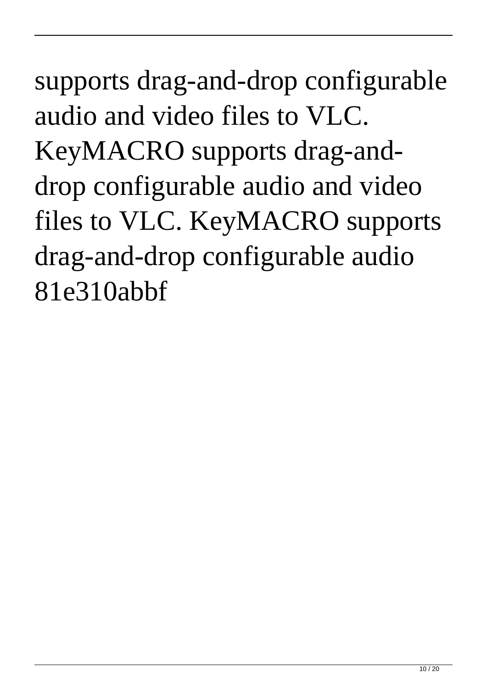supports drag-and-drop configurable audio and video files to VLC. KeyMACRO supports drag-anddrop configurable audio and video files to VLC. KeyMACRO supports drag-and-drop configurable audio 81e310abbf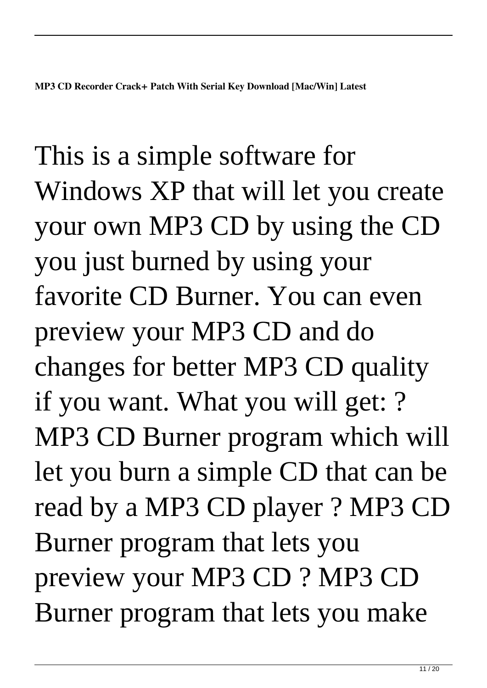This is a simple software for Windows XP that will let you create your own MP3 CD by using the CD you just burned by using your favorite CD Burner. You can even preview your MP3 CD and do changes for better MP3 CD quality if you want. What you will get: ? MP3 CD Burner program which will let you burn a simple CD that can be read by a MP3 CD player ? MP3 CD Burner program that lets you preview your MP3 CD ? MP3 CD Burner program that lets you make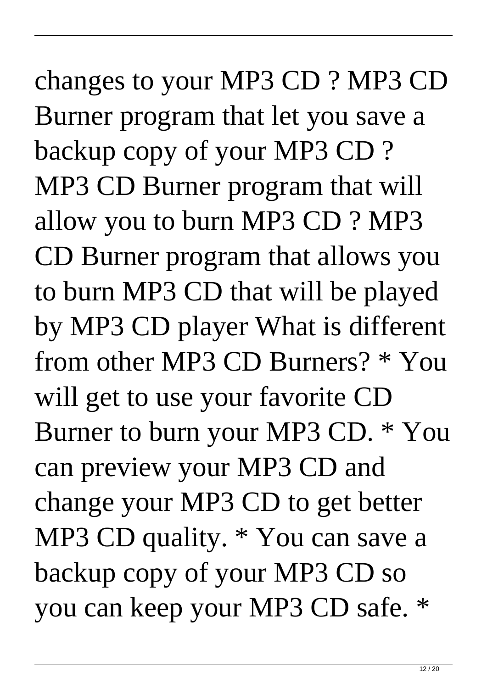# changes to your MP3 CD ? MP3 CD Burner program that let you save a backup copy of your MP3 CD ? MP3 CD Burner program that will allow you to burn MP3 CD ? MP3 CD Burner program that allows you to burn MP3 CD that will be played by MP3 CD player What is different from other MP3 CD Burners? \* You will get to use your favorite CD Burner to burn your MP3 CD. \* You can preview your MP3 CD and change your MP3 CD to get better MP3 CD quality. \* You can save a backup copy of your MP3 CD so you can keep your MP3 CD safe. \*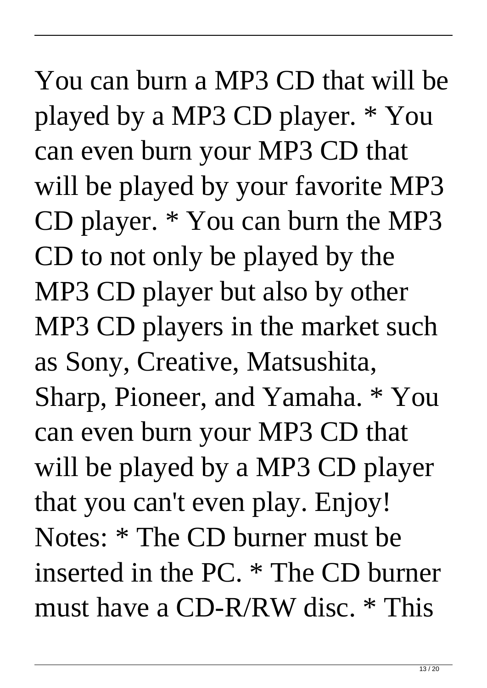You can burn a MP3 CD that will be played by a MP3 CD player. \* You can even burn your MP3 CD that will be played by your favorite MP3 CD player. \* You can burn the MP3 CD to not only be played by the MP3 CD player but also by other MP3 CD players in the market such as Sony, Creative, Matsushita, Sharp, Pioneer, and Yamaha. \* You can even burn your MP3 CD that will be played by a MP3 CD player that you can't even play. Enjoy! Notes: \* The CD burner must be inserted in the PC. \* The CD burner must have a CD-R/RW disc. \* This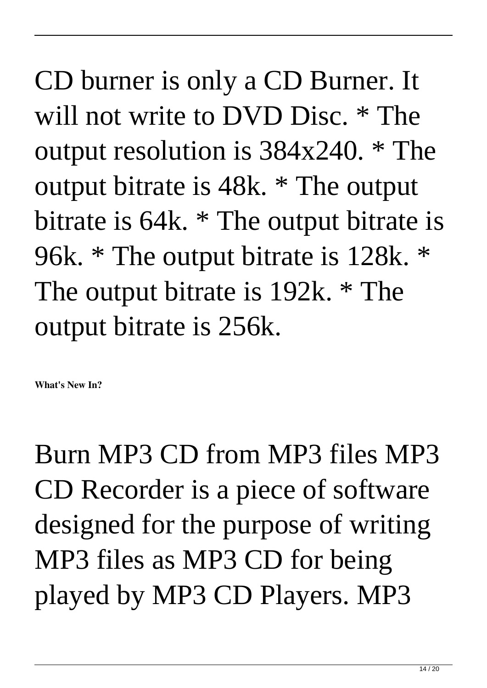CD burner is only a CD Burner. It will not write to DVD Disc. \* The output resolution is 384x240. \* The output bitrate is 48k. \* The output bitrate is 64k. \* The output bitrate is 96k. \* The output bitrate is 128k. \* The output bitrate is 192k. \* The output bitrate is 256k.

**What's New In?**

Burn MP3 CD from MP3 files MP3 CD Recorder is a piece of software designed for the purpose of writing MP3 files as MP3 CD for being played by MP3 CD Players. MP3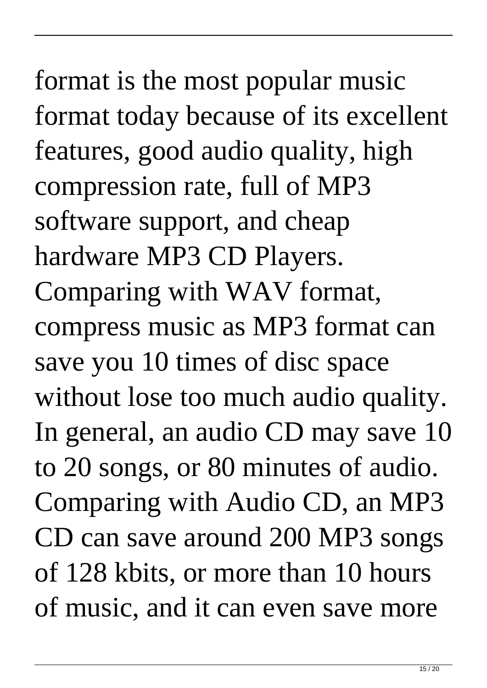# format is the most popular music format today because of its excellent features, good audio quality, high compression rate, full of MP3 software support, and cheap hardware MP3 CD Players. Comparing with WAV format, compress music as MP3 format can save you 10 times of disc space without lose too much audio quality. In general, an audio CD may save 10 to 20 songs, or 80 minutes of audio. Comparing with Audio CD, an MP3 CD can save around 200 MP3 songs of 128 kbits, or more than 10 hours of music, and it can even save more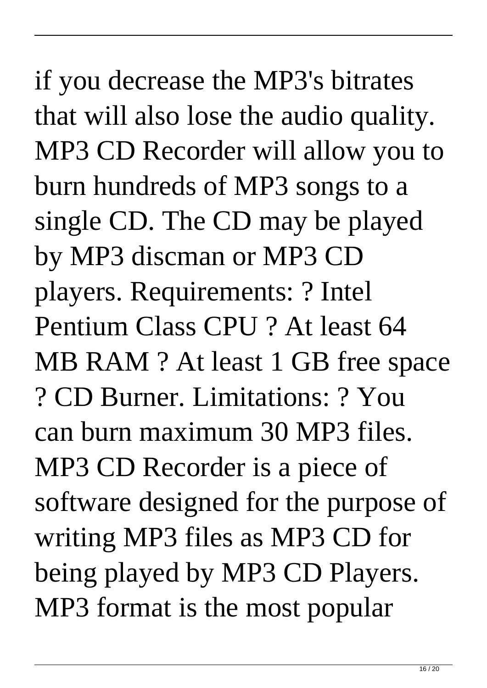if you decrease the MP3's bitrates that will also lose the audio quality. MP3 CD Recorder will allow you to burn hundreds of MP3 songs to a single CD. The CD may be played by MP3 discman or MP3 CD players. Requirements: ? Intel Pentium Class CPU ? At least 64 MB RAM ? At least 1 GB free space ? CD Burner. Limitations: ? You can burn maximum 30 MP3 files. MP3 CD Recorder is a piece of software designed for the purpose of writing MP3 files as MP3 CD for being played by MP3 CD Players. MP3 format is the most popular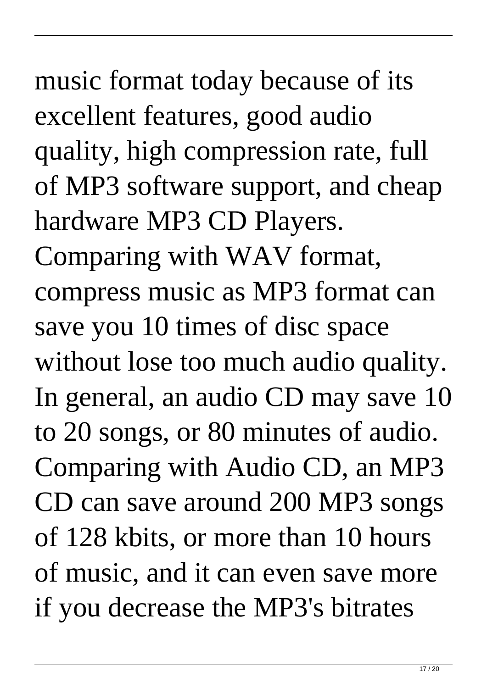music format today because of its excellent features, good audio quality, high compression rate, full of MP3 software support, and cheap hardware MP3 CD Players. Comparing with WAV format, compress music as MP3 format can save you 10 times of disc space without lose too much audio quality. In general, an audio CD may save 10 to 20 songs, or 80 minutes of audio. Comparing with Audio CD, an MP3 CD can save around 200 MP3 songs of 128 kbits, or more than 10 hours of music, and it can even save more if you decrease the MP3's bitrates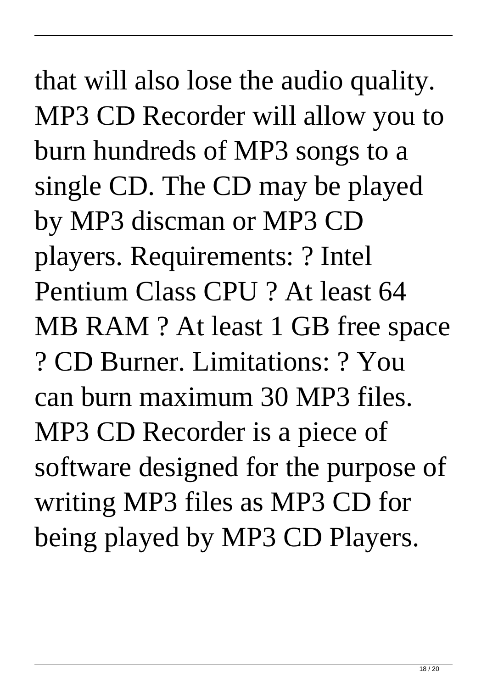# that will also lose the audio quality. MP3 CD Recorder will allow you to burn hundreds of MP3 songs to a single CD. The CD may be played by MP3 discman or MP3 CD players. Requirements: ? Intel Pentium Class CPU ? At least 64 MB RAM ? At least 1 GB free space ? CD Burner. Limitations: ? You can burn maximum 30 MP3 files. MP3 CD Recorder is a piece of software designed for the purpose of writing MP3 files as MP3 CD for

being played by MP3 CD Players.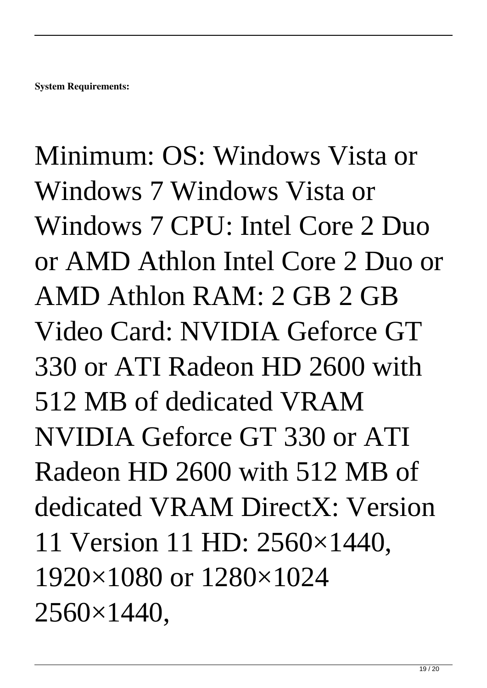Minimum: OS: Windows Vista or Windows 7 Windows Vista or Windows 7 CPU: Intel Core 2 Duo or AMD Athlon Intel Core 2 Duo or AMD Athlon RAM: 2 GB 2 GB Video Card: NVIDIA Geforce GT 330 or ATI Radeon HD 2600 with 512 MB of dedicated VRAM NVIDIA Geforce GT 330 or ATI Radeon HD 2600 with 512 MB of dedicated VRAM DirectX: Version 11 Version 11 HD: 2560×1440, 1920×1080 or 1280×1024 2560×1440,